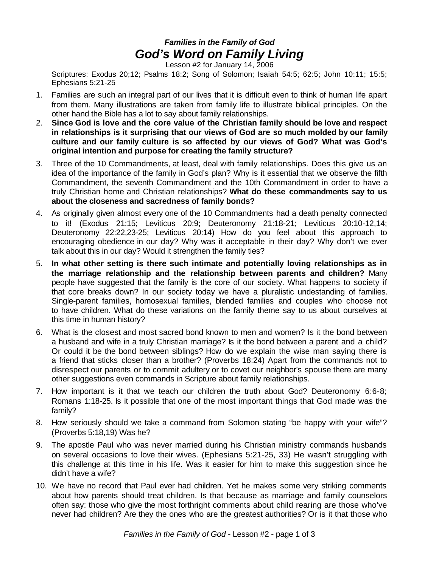## *Families in the Family of God God's Word on Family Living*

Lesson #2 for January 14, 2006

Scriptures: Exodus 20;12; Psalms 18:2; Song of Solomon; Isaiah 54:5; 62:5; John 10:11; 15:5; Ephesians 5:21-25

- 1. Families are such an integral part of our lives that it is difficult even to think of human life apart from them. Many illustrations are taken from family life to illustrate biblical principles. On the other hand the Bible has a lot to say about family relationships.
- 2. **Since God is love and the core value of the Christian family should be love and respect in relationships is it surprising that our views of God are so much molded by our family culture and our family culture is so affected by our views of God? What was God's original intention and purpose for creating the family structure?**
- 3. Three of the 10 Commandments, at least, deal with family relationships. Does this give us an idea of the importance of the family in God's plan? Why is it essential that we observe the fifth Commandment, the seventh Commandment and the 10th Commandment in order to have a truly Christian home and Christian relationships? **What do these commandments say to us about the closeness and sacredness of family bonds?**
- 4. As originally given almost every one of the 10 Commandments had a death penalty connected to it! (Exodus 21:15; Leviticus 20:9; Deuteronomy 21:18-21; Leviticus 20:10-12,14; Deuteronomy 22:22,23-25; Leviticus 20:14) How do you feel about this approach to encouraging obedience in our day? Why was it acceptable in their day? Why don't we ever talk about this in our day? Would it strengthen the family ties?
- 5. **In what other setting is there such intimate and potentially loving relationships as in the marriage relationship and the relationship between parents and children?** Many people have suggested that the family is the core of our society. What happens to society if that core breaks down? In our society today we have a pluralistic undestanding of families. Single-parent families, homosexual families, blended families and couples who choose not to have children. What do these variations on the family theme say to us about ourselves at this time in human history?
- 6. What is the closest and most sacred bond known to men and women? Is it the bond between a husband and wife in a truly Christian marriage? Is it the bond between a parent and a child? Or could it be the bond between siblings? How do we explain the wise man saying there is a friend that sticks closer than a brother? (Proverbs 18:24) Apart from the commands not to disrespect our parents or to commit adultery or to covet our neighbor's spouse there are many other suggestions even commands in Scripture about family relationships.
- 7. How important is it that we teach our children the truth about God? Deuteronomy 6:6-8; Romans 1:18-25. Is it possible that one of the most important things that God made was the family?
- 8. How seriously should we take a command from Solomon stating "be happy with your wife"? (Proverbs 5:18,19) Was he?
- 9. The apostle Paul who was never married during his Christian ministry commands husbands on several occasions to love their wives. (Ephesians 5:21-25, 33) He wasn't struggling with this challenge at this time in his life. Was it easier for him to make this suggestion since he didn't have a wife?
- 10. We have no record that Paul ever had children. Yet he makes some very striking comments about how parents should treat children. Is that because as marriage and family counselors often say: those who give the most forthright comments about child rearing are those who've never had children? Are they the ones who are the greatest authorities? Or is it that those who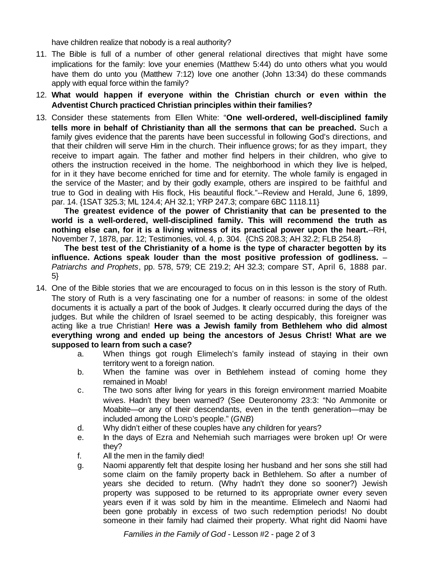have children realize that nobody is a real authority?

- 11. The Bible is full of a number of other general relational directives that might have some implications for the family: love your enemies (Matthew 5:44) do unto others what you would have them do unto you (Matthew 7:12) love one another (John 13:34) do these commands apply with equal force within the family?
- 12. **What would happen if everyone within the Christian church or even within the Adventist Church practiced Christian principles within their families?**
- 13. Consider these statements from Ellen White: "**One well-ordered, well-disciplined family tells more in behalf of Christianity than all the sermons that can be preached.** Such a family gives evidence that the parents have been successful in following God's directions, and that their children will serve Him in the church. Their influence grows; for as they impart, they receive to impart again. The father and mother find helpers in their children, who give to others the instruction received in the home. The neighborhood in which they live is helped, for in it they have become enriched for time and for eternity. The whole family is engaged in the service of the Master; and by their godly example, others are inspired to be faithful and true to God in dealing with His flock, His beautiful flock."--Review and Herald, June 6, 1899, par. 14. {1SAT 325.3; ML 124.4; AH 32.1; YRP 247.3; compare 6BC 1118.11}

**The greatest evidence of the power of Christianity that can be presented to the world is a well-ordered, well-disciplined family. This will recommend the truth as nothing else can, for it is a living witness of its practical power upon the heart.**--RH, November 7, 1878, par. 12; Testimonies, vol. 4, p. 304. {ChS 208.3; AH 32.2; FLB 254.8}

**The best test of the Christianity of a home is the type of character begotten by its influence. Actions speak louder than the most positive profession of godliness.** – *Patriarchs and Prophets*, pp. 578, 579; CE 219.2; AH 32.3; compare ST, April 6, 1888 par. 5}

- 14. One of the Bible stories that we are encouraged to focus on in this lesson is the story of Ruth. The story of Ruth is a very fascinating one for a number of reasons: in some of the oldest documents it is actually a part of the book of Judges. It clearly occurred during the days of the judges. But while the children of Israel seemed to be acting despicably, this foreigner was acting like a true Christian! **Here was a Jewish family from Bethlehem who did almost everything wrong and ended up being the ancestors of Jesus Christ! What are we supposed to learn from such a case?**
	- a. When things got rough Elimelech's family instead of staying in their own territory went to a foreign nation.
	- b. When the famine was over in Bethlehem instead of coming home they remained in Moab!
	- c. The two sons after living for years in this foreign environment married Moabite wives. Hadn't they been warned? (See Deuteronomy 23:3: "No Ammonite or Moabite—or any of their descendants, even in the tenth generation—may be included among the LORD's people." (*GNB*)
	- d. Why didn't either of these couples have any children for years?
	- e. In the days of Ezra and Nehemiah such marriages were broken up! Or were they?
	- f. All the men in the family died!
	- g. Naomi apparently felt that despite losing her husband and her sons she still had some claim on the family property back in Bethlehem. So after a number of years she decided to return. (Why hadn't they done so sooner?) Jewish property was supposed to be returned to its appropriate owner every seven years even if it was sold by him in the meantime. Elimelech and Naomi had been gone probably in excess of two such redemption periods! No doubt someone in their family had claimed their property. What right did Naomi have